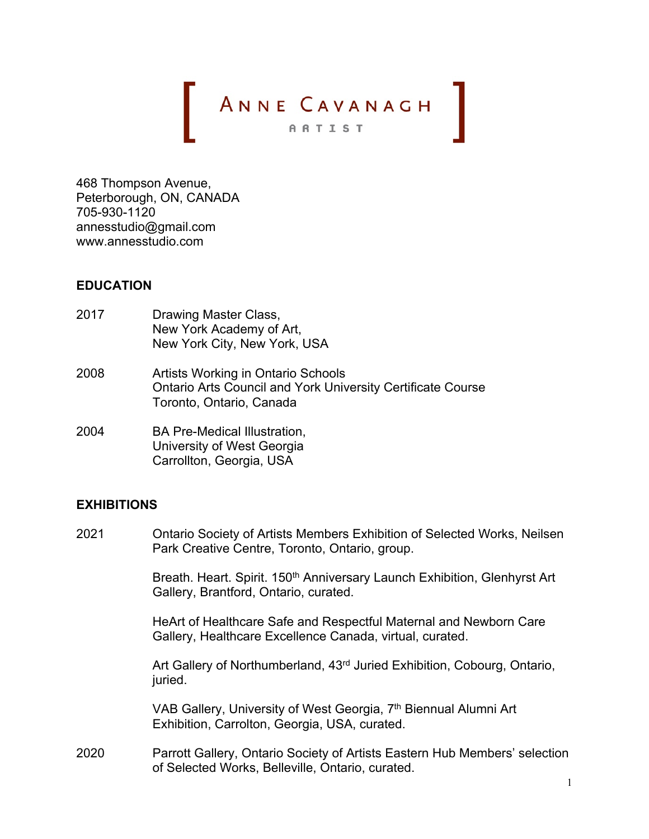# ANNE CAVANAGH

468 Thompson Avenue, Peterborough, ON, CANADA 705-930-1120 annesstudio@gmail.com www.annesstudio.com

## **EDUCATION**

- 2017 Drawing Master Class, New York Academy of Art, New York City, New York, USA
- 2008 Artists Working in Ontario Schools Ontario Arts Council and York University Certificate Course Toronto, Ontario, Canada
- 2004 BA Pre-Medical Illustration, University of West Georgia Carrollton, Georgia, USA

## **EXHIBITIONS**

2021 Ontario Society of Artists Members Exhibition of Selected Works, Neilsen Park Creative Centre, Toronto, Ontario, group.

> Breath. Heart. Spirit. 150<sup>th</sup> Anniversary Launch Exhibition, Glenhyrst Art Gallery, Brantford, Ontario, curated.

HeArt of Healthcare Safe and Respectful Maternal and Newborn Care Gallery, Healthcare Excellence Canada, virtual, curated.

Art Gallery of Northumberland, 43rd Juried Exhibition, Cobourg, Ontario, juried.

VAB Gallery, University of West Georgia, 7<sup>th</sup> Biennual Alumni Art Exhibition, Carrolton, Georgia, USA, curated.

2020 Parrott Gallery, Ontario Society of Artists Eastern Hub Members' selection of Selected Works, Belleville, Ontario, curated.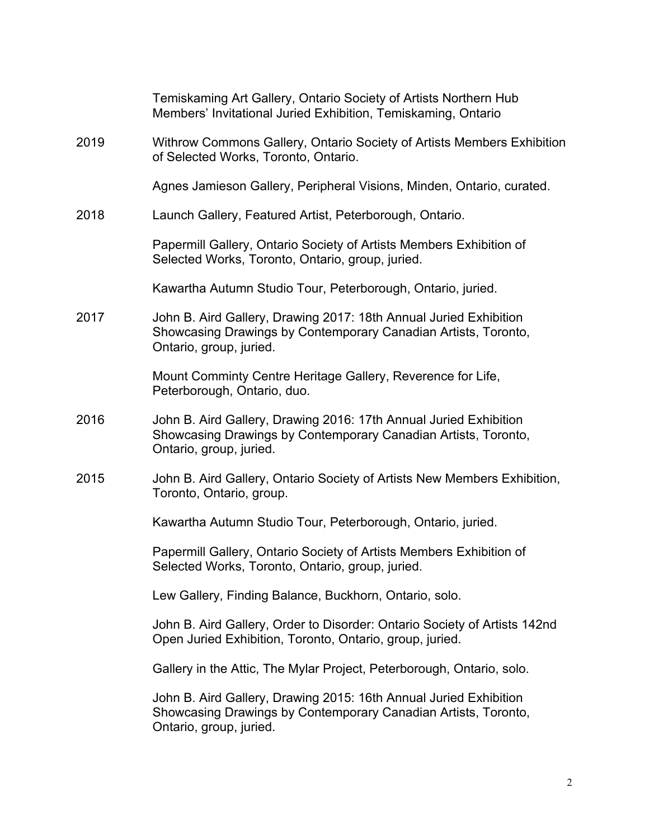|      | Temiskaming Art Gallery, Ontario Society of Artists Northern Hub<br>Members' Invitational Juried Exhibition, Temiskaming, Ontario                              |
|------|----------------------------------------------------------------------------------------------------------------------------------------------------------------|
| 2019 | Withrow Commons Gallery, Ontario Society of Artists Members Exhibition<br>of Selected Works, Toronto, Ontario.                                                 |
|      | Agnes Jamieson Gallery, Peripheral Visions, Minden, Ontario, curated.                                                                                          |
| 2018 | Launch Gallery, Featured Artist, Peterborough, Ontario.                                                                                                        |
|      | Papermill Gallery, Ontario Society of Artists Members Exhibition of<br>Selected Works, Toronto, Ontario, group, juried.                                        |
|      | Kawartha Autumn Studio Tour, Peterborough, Ontario, juried.                                                                                                    |
| 2017 | John B. Aird Gallery, Drawing 2017: 18th Annual Juried Exhibition<br>Showcasing Drawings by Contemporary Canadian Artists, Toronto,<br>Ontario, group, juried. |
|      | Mount Comminty Centre Heritage Gallery, Reverence for Life,<br>Peterborough, Ontario, duo.                                                                     |
| 2016 | John B. Aird Gallery, Drawing 2016: 17th Annual Juried Exhibition<br>Showcasing Drawings by Contemporary Canadian Artists, Toronto,<br>Ontario, group, juried. |
| 2015 | John B. Aird Gallery, Ontario Society of Artists New Members Exhibition,<br>Toronto, Ontario, group.                                                           |
|      | Kawartha Autumn Studio Tour, Peterborough, Ontario, juried.                                                                                                    |
|      | Papermill Gallery, Ontario Society of Artists Members Exhibition of<br>Selected Works, Toronto, Ontario, group, juried.                                        |
|      | Lew Gallery, Finding Balance, Buckhorn, Ontario, solo.                                                                                                         |
|      | John B. Aird Gallery, Order to Disorder: Ontario Society of Artists 142nd<br>Open Juried Exhibition, Toronto, Ontario, group, juried.                          |
|      | Gallery in the Attic, The Mylar Project, Peterborough, Ontario, solo.                                                                                          |
|      | John B. Aird Gallery, Drawing 2015: 16th Annual Juried Exhibition<br>Showcasing Drawings by Contemporary Canadian Artists, Toronto,<br>Ontario, group, juried. |
|      |                                                                                                                                                                |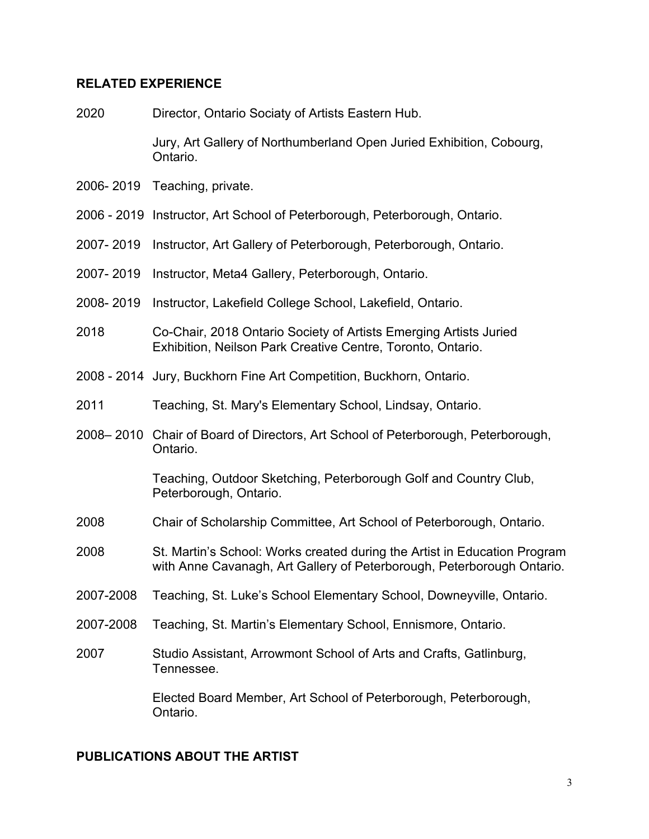#### **RELATED EXPERIENCE**

2020 Director, Ontario Sociaty of Artists Eastern Hub.

Jury, Art Gallery of Northumberland Open Juried Exhibition, Cobourg, Ontario.

- 2006- 2019 Teaching, private.
- 2006 2019 Instructor, Art School of Peterborough, Peterborough, Ontario.
- 2007- 2019 Instructor, Art Gallery of Peterborough, Peterborough, Ontario.
- 2007- 2019 Instructor, Meta4 Gallery, Peterborough, Ontario.
- 2008- 2019 Instructor, Lakefield College School, Lakefield, Ontario.
- 2018 Co-Chair, 2018 Ontario Society of Artists Emerging Artists Juried Exhibition, Neilson Park Creative Centre, Toronto, Ontario.
- 2008 2014 Jury, Buckhorn Fine Art Competition, Buckhorn, Ontario.
- 2011 Teaching, St. Mary's Elementary School, Lindsay, Ontario.
- 2008– 2010 Chair of Board of Directors, Art School of Peterborough, Peterborough, Ontario.

Teaching, Outdoor Sketching, Peterborough Golf and Country Club, Peterborough, Ontario.

- 2008 Chair of Scholarship Committee, Art School of Peterborough, Ontario.
- 2008 St. Martin's School: Works created during the Artist in Education Program with Anne Cavanagh, Art Gallery of Peterborough, Peterborough Ontario.
- 2007-2008 Teaching, St. Luke's School Elementary School, Downeyville, Ontario.
- 2007-2008 Teaching, St. Martin's Elementary School, Ennismore, Ontario.
- 2007 Studio Assistant, Arrowmont School of Arts and Crafts, Gatlinburg, Tennessee.

Elected Board Member, Art School of Peterborough, Peterborough, Ontario.

#### **PUBLICATIONS ABOUT THE ARTIST**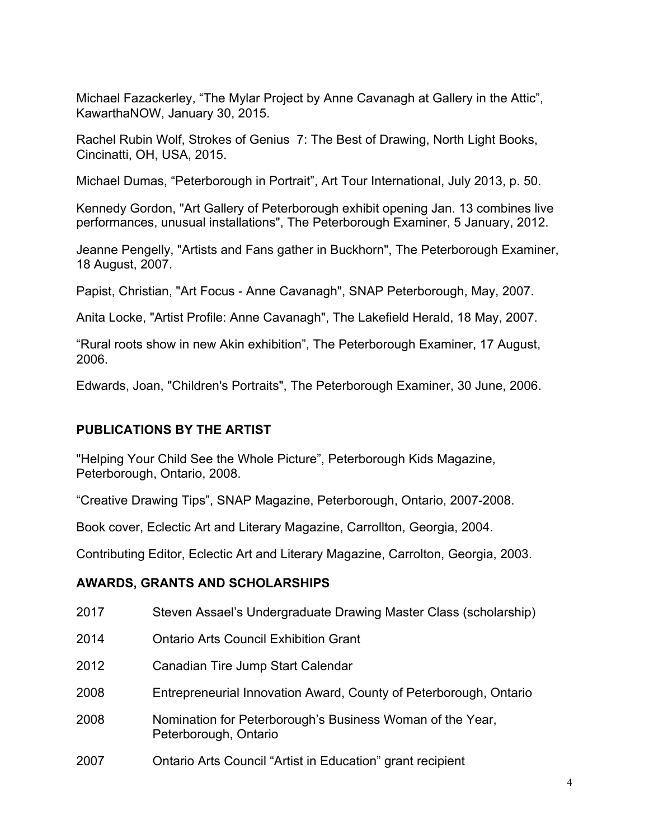Michael Fazackerley, "The Mylar Project by Anne Cavanagh at Gallery in the Attic", KawarthaNOW, January 30, 2015.

Rachel Rubin Wolf, Strokes of Genius 7: The Best of Drawing, North Light Books, Cincinatti, OH, USA, 2015.

Michael Dumas, "Peterborough in Portrait", Art Tour International, July 2013, p. 50.

Kennedy Gordon, "Art Gallery of Peterborough exhibit opening Jan. 13 combines live performances, unusual installations", The Peterborough Examiner, 5 January, 2012.

Jeanne Pengelly, "Artists and Fans gather in Buckhorn", The Peterborough Examiner, 18 August, 2007.

Papist, Christian, "Art Focus - Anne Cavanagh", SNAP Peterborough, May, 2007.

Anita Locke, "Artist Profile: Anne Cavanagh", The Lakefield Herald, 18 May, 2007.

"Rural roots show in new Akin exhibition", The Peterborough Examiner, 17 August, 2006.

Edwards, Joan, "Children's Portraits", The Peterborough Examiner, 30 June, 2006.

## **PUBLICATIONS BY THE ARTIST**

"Helping Your Child See the Whole Picture", Peterborough Kids Magazine, Peterborough, Ontario, 2008.

"Creative Drawing Tips", SNAP Magazine, Peterborough, Ontario, 2007-2008.

Book cover, Eclectic Art and Literary Magazine, Carrollton, Georgia, 2004.

Contributing Editor, Eclectic Art and Literary Magazine, Carrolton, Georgia, 2003.

## **AWARDS, GRANTS AND SCHOLARSHIPS**

| 2017 | Steven Assael's Undergraduate Drawing Master Class (scholarship)                   |
|------|------------------------------------------------------------------------------------|
| 2014 | <b>Ontario Arts Council Exhibition Grant</b>                                       |
| 2012 | Canadian Tire Jump Start Calendar                                                  |
| 2008 | Entrepreneurial Innovation Award, County of Peterborough, Ontario                  |
| 2008 | Nomination for Peterborough's Business Woman of the Year,<br>Peterborough, Ontario |
| 2007 | Ontario Arts Council "Artist in Education" grant recipient                         |